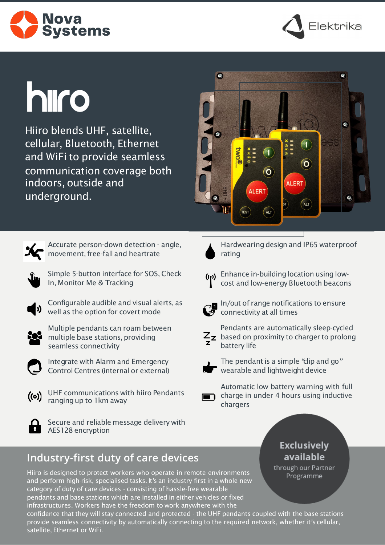



# **h**iro

Hiiro blends UHF, satellite, cellular, Bluetooth, Ethernet and WiFi to provide seamless communication coverage both indoors, outside and underground.





Accurate person-down detection - angle, movement, free-fall and heartrate



Simple 5-button interface for SOS, Check In, Monitor Me & Tracking



Configurable audible and visual alerts, as well as the option for covert mode



Multiple pendants can roam between multiple base stations, providing seamless connectivity



Integrate with Alarm and Emergency Control Centres (internal or external)



UHF communications with hiiro Pendants ranging up to 1 km away



Secure and reliable message delivery with **AES128** encryption

## **Industry-first duty of care devices**

Hiiro is designed to protect workers who operate in remote environments and perform high-risk, specialised tasks. It*'*s an industry first in a whole new category of duty of care devices - consisting of hassle-free wearable pendants and base stations which are installed in either vehicles or fixed infrastructures. Workers have the freedom to work anywhere with the

confidence that they will stay connected and protected - the UHF pendants coupled with the base stations provide seamless connectivity by automatically connecting to the required network, whether it*'*s cellular, satellite, Ethernet or WiFi.



Hardwearing design and IP65 waterproof rating

((1) Enhance in-building location using lowcost and low-energy Bluetooth beacons



In/out of range notifications to ensure connectivity at all times



Pendants are automatically sleep-cycled  $Z_{\rm Z}$  based on proximity to charger to prolong battery life



The pendant is a simple *"*clip and go*"*  wearable and lightweight device



Automatic low battery warning with full **n** charge in under 4 hours using inductive chargers

### **Exclusively** available

through our Partner Programme